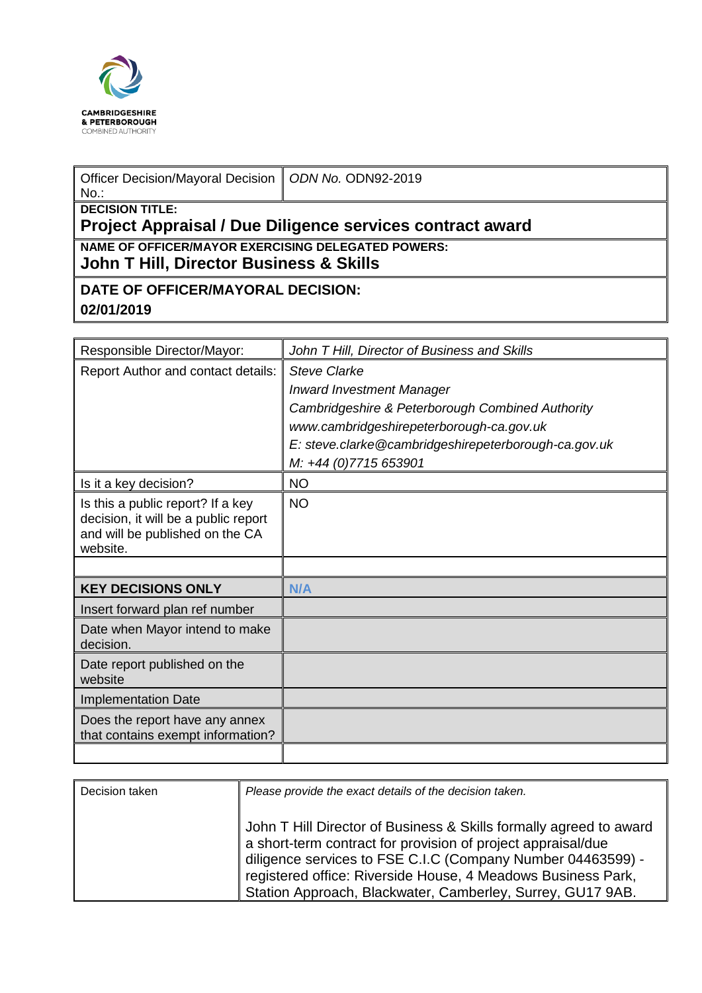

| Officer Decision/Mayoral Decision   ODN No. ODN92-2019<br>No.:                        |  |  |
|---------------------------------------------------------------------------------------|--|--|
| <b>I</b> DECISION TITLE:<br>Project Appraisal / Due Diligence services contract award |  |  |
| NAME OF OFFICER/MAYOR EXERCISING DELEGATED POWERS:                                    |  |  |

**John T Hill, Director Business & Skills** 

## **DATE OF OFFICER/MAYORAL DECISION: 02/01/2019**

| Responsible Director/Mayor:                                                                                              | John T Hill, Director of Business and Skills         |
|--------------------------------------------------------------------------------------------------------------------------|------------------------------------------------------|
| Report Author and contact details:                                                                                       | <b>Steve Clarke</b>                                  |
|                                                                                                                          | <b>Inward Investment Manager</b>                     |
|                                                                                                                          | Cambridgeshire & Peterborough Combined Authority     |
|                                                                                                                          | www.cambridgeshirepeterborough-ca.gov.uk             |
|                                                                                                                          | E: steve.clarke@cambridgeshirepeterborough-ca.gov.uk |
|                                                                                                                          | M: +44 (0)7715 653901                                |
| Is it a key decision?                                                                                                    | <b>NO</b>                                            |
| Is this a public report? If a key<br>decision, it will be a public report<br>and will be published on the CA<br>website. | <b>NO</b>                                            |
|                                                                                                                          |                                                      |
| <b>KEY DECISIONS ONLY</b>                                                                                                | N/A                                                  |
| Insert forward plan ref number                                                                                           |                                                      |
| Date when Mayor intend to make<br>decision.                                                                              |                                                      |
| Date report published on the<br>website                                                                                  |                                                      |
| <b>Implementation Date</b>                                                                                               |                                                      |
| Does the report have any annex<br>that contains exempt information?                                                      |                                                      |
|                                                                                                                          |                                                      |

| Decision taken | Please provide the exact details of the decision taken.                                                                                                                                                                                                                                                                         |  |
|----------------|---------------------------------------------------------------------------------------------------------------------------------------------------------------------------------------------------------------------------------------------------------------------------------------------------------------------------------|--|
|                | John T Hill Director of Business & Skills formally agreed to award<br>a short-term contract for provision of project appraisal/due<br>diligence services to FSE C.I.C (Company Number 04463599) -<br>registered office: Riverside House, 4 Meadows Business Park,<br>Station Approach, Blackwater, Camberley, Surrey, GU17 9AB. |  |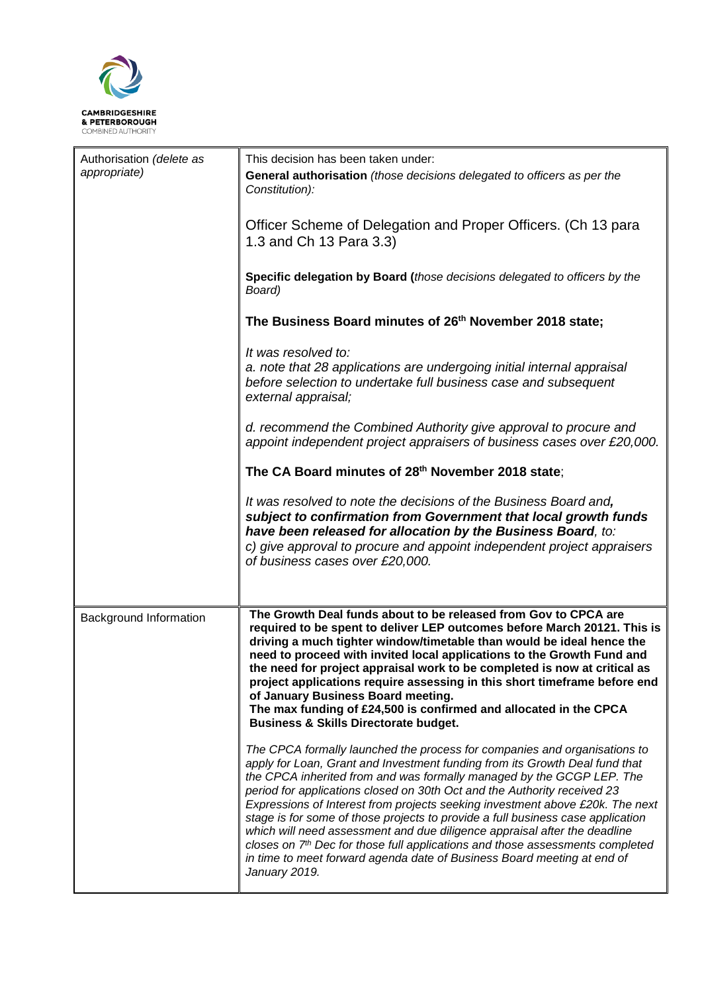

| Authorisation (delete as | This decision has been taken under:                                                                                                                                                                                                                                                                                                                                                                                                                                                                                                                                                                                                                                                                                                                     |  |
|--------------------------|---------------------------------------------------------------------------------------------------------------------------------------------------------------------------------------------------------------------------------------------------------------------------------------------------------------------------------------------------------------------------------------------------------------------------------------------------------------------------------------------------------------------------------------------------------------------------------------------------------------------------------------------------------------------------------------------------------------------------------------------------------|--|
| appropriate)             | General authorisation (those decisions delegated to officers as per the<br>Constitution):                                                                                                                                                                                                                                                                                                                                                                                                                                                                                                                                                                                                                                                               |  |
|                          | Officer Scheme of Delegation and Proper Officers. (Ch 13 para<br>1.3 and Ch 13 Para 3.3)                                                                                                                                                                                                                                                                                                                                                                                                                                                                                                                                                                                                                                                                |  |
|                          | Specific delegation by Board (those decisions delegated to officers by the<br>Board)                                                                                                                                                                                                                                                                                                                                                                                                                                                                                                                                                                                                                                                                    |  |
|                          | The Business Board minutes of 26 <sup>th</sup> November 2018 state;                                                                                                                                                                                                                                                                                                                                                                                                                                                                                                                                                                                                                                                                                     |  |
|                          | It was resolved to:<br>a. note that 28 applications are undergoing initial internal appraisal<br>before selection to undertake full business case and subsequent<br>external appraisal;                                                                                                                                                                                                                                                                                                                                                                                                                                                                                                                                                                 |  |
|                          | d. recommend the Combined Authority give approval to procure and<br>appoint independent project appraisers of business cases over £20,000.                                                                                                                                                                                                                                                                                                                                                                                                                                                                                                                                                                                                              |  |
|                          | The CA Board minutes of 28th November 2018 state;                                                                                                                                                                                                                                                                                                                                                                                                                                                                                                                                                                                                                                                                                                       |  |
|                          | It was resolved to note the decisions of the Business Board and,<br>subject to confirmation from Government that local growth funds<br>have been released for allocation by the Business Board, to:<br>c) give approval to procure and appoint independent project appraisers<br>of business cases over £20,000.                                                                                                                                                                                                                                                                                                                                                                                                                                        |  |
|                          |                                                                                                                                                                                                                                                                                                                                                                                                                                                                                                                                                                                                                                                                                                                                                         |  |
| Background Information   | The Growth Deal funds about to be released from Gov to CPCA are<br>required to be spent to deliver LEP outcomes before March 20121. This is<br>driving a much tighter window/timetable than would be ideal hence the<br>need to proceed with invited local applications to the Growth Fund and<br>the need for project appraisal work to be completed is now at critical as<br>project applications require assessing in this short timeframe before end<br>of January Business Board meeting.<br>The max funding of £24,500 is confirmed and allocated in the CPCA<br><b>Business &amp; Skills Directorate budget.</b>                                                                                                                                 |  |
|                          | The CPCA formally launched the process for companies and organisations to<br>apply for Loan, Grant and Investment funding from its Growth Deal fund that<br>the CPCA inherited from and was formally managed by the GCGP LEP. The<br>period for applications closed on 30th Oct and the Authority received 23<br>Expressions of Interest from projects seeking investment above £20k. The next<br>stage is for some of those projects to provide a full business case application<br>which will need assessment and due diligence appraisal after the deadline<br>closes on 7 <sup>th</sup> Dec for those full applications and those assessments completed<br>in time to meet forward agenda date of Business Board meeting at end of<br>January 2019. |  |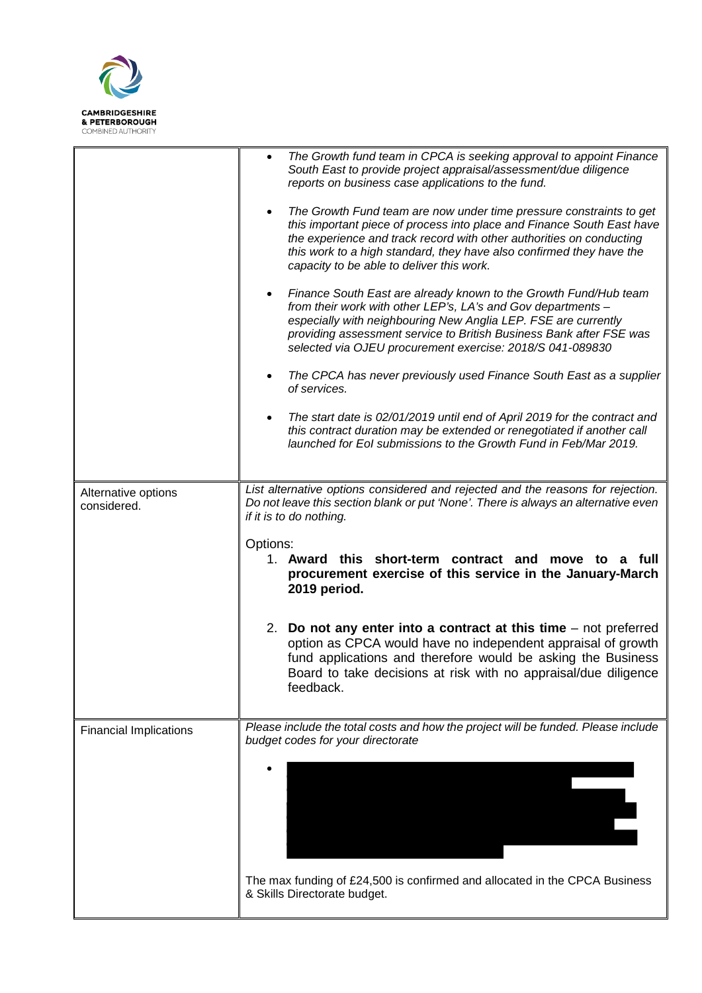

|                                    | $\bullet$<br>$\bullet$ | The Growth fund team in CPCA is seeking approval to appoint Finance<br>South East to provide project appraisal/assessment/due diligence<br>reports on business case applications to the fund.<br>The Growth Fund team are now under time pressure constraints to get                                                                   |
|------------------------------------|------------------------|----------------------------------------------------------------------------------------------------------------------------------------------------------------------------------------------------------------------------------------------------------------------------------------------------------------------------------------|
|                                    |                        | this important piece of process into place and Finance South East have<br>the experience and track record with other authorities on conducting<br>this work to a high standard, they have also confirmed they have the<br>capacity to be able to deliver this work.                                                                    |
|                                    | $\bullet$              | Finance South East are already known to the Growth Fund/Hub team<br>from their work with other LEP's, LA's and Gov departments -<br>especially with neighbouring New Anglia LEP. FSE are currently<br>providing assessment service to British Business Bank after FSE was<br>selected via OJEU procurement exercise: 2018/S 041-089830 |
|                                    | $\bullet$              | The CPCA has never previously used Finance South East as a supplier<br>of services.                                                                                                                                                                                                                                                    |
|                                    | $\bullet$              | The start date is 02/01/2019 until end of April 2019 for the contract and<br>this contract duration may be extended or renegotiated if another call<br>launched for Eol submissions to the Growth Fund in Feb/Mar 2019.                                                                                                                |
| Alternative options<br>considered. |                        | List alternative options considered and rejected and the reasons for rejection.<br>Do not leave this section blank or put 'None'. There is always an alternative even<br>if it is to do nothing.                                                                                                                                       |
|                                    | Options:               |                                                                                                                                                                                                                                                                                                                                        |
|                                    |                        | 1. Award this short-term contract and move to a full<br>procurement exercise of this service in the January-March<br>2019 period.                                                                                                                                                                                                      |
|                                    |                        | 2. Do not any enter into a contract at this time $-$ not preferred<br>option as CPCA would have no independent appraisal of growth<br>fund applications and therefore would be asking the Business<br>Board to take decisions at risk with no appraisal/due diligence<br>feedback.                                                     |
| <b>Financial Implications</b>      |                        | Please include the total costs and how the project will be funded. Please include<br>budget codes for your directorate                                                                                                                                                                                                                 |
|                                    |                        |                                                                                                                                                                                                                                                                                                                                        |